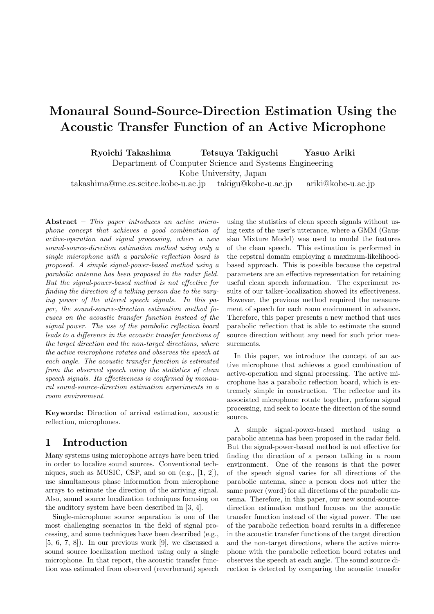# **Monaural Sound-Source-Direction Estimation Using the Acoustic Transfer Function of an Active Microphone**

**Ryoichi Takashima Tetsuya Takiguchi Yasuo Ariki**

Department of Computer Science and Systems Engineering

Kobe University, Japan

takashima@me.cs.scitec.kobe-u.ac.jp takigu@kobe-u.ac.jp ariki@kobe-u.ac.jp

**Abstract –** This paper introduces an active microphone concept that achieves a good combination of active-operation and signal processing, where a new sound-source-direction estimation method using only a single microphone with a parabolic reflection board is proposed. A simple signal-power-based method using a parabolic antenna has been proposed in the radar field. But the signal-power-based method is not effective for finding the direction of a talking person due to the varying power of the uttered speech signals. In this paper, the sound-source-direction estimation method focuses on the acoustic transfer function instead of the signal power. The use of the parabolic reflection board leads to a difference in the acoustic transfer functions of the target direction and the non-target directions, where the active microphone rotates and observes the speech at each angle. The acoustic transfer function is estimated from the observed speech using the statistics of clean speech signals. Its effectiveness is confirmed by monaural sound-source-direction estimation experiments in a room environment.

**Keywords:** Direction of arrival estimation, acoustic reflection, microphones.

# **1 Introduction**

Many systems using microphone arrays have been tried in order to localize sound sources. Conventional techniques, such as MUSIC, CSP, and so on (e.g., [1, 2]), use simultaneous phase information from microphone arrays to estimate the direction of the arriving signal. Also, sound source localization techniques focusing on the auditory system have been described in [3, 4].

Single-microphone source separation is one of the most challenging scenarios in the field of signal processing, and some techniques have been described (e.g.,  $[5, 6, 7, 8]$ . In our previous work  $[9]$ , we discussed a sound source localization method using only a single microphone. In that report, the acoustic transfer function was estimated from observed (reverberant) speech using the statistics of clean speech signals without using texts of the user's utterance, where a GMM (Gaussian Mixture Model) was used to model the features of the clean speech. This estimation is performed in the cepstral domain employing a maximum-likelihoodbased approach. This is possible because the cepstral parameters are an effective representation for retaining useful clean speech information. The experiment results of our talker-localization showed its effectiveness. However, the previous method required the measurement of speech for each room environment in advance. Therefore, this paper presents a new method that uses parabolic reflection that is able to estimate the sound source direction without any need for such prior measurements.

In this paper, we introduce the concept of an active microphone that achieves a good combination of active-operation and signal processing. The active microphone has a parabolic reflection board, which is extremely simple in construction. The reflector and its associated microphone rotate together, perform signal processing, and seek to locate the direction of the sound source.

A simple signal-power-based method using a parabolic antenna has been proposed in the radar field. But the signal-power-based method is not effective for finding the direction of a person talking in a room environment. One of the reasons is that the power of the speech signal varies for all directions of the parabolic antenna, since a person does not utter the same power (word) for all directions of the parabolic antenna. Therefore, in this paper, our new sound-sourcedirection estimation method focuses on the acoustic transfer function instead of the signal power. The use of the parabolic reflection board results in a difference in the acoustic transfer functions of the target direction and the non-target directions, where the active microphone with the parabolic reflection board rotates and observes the speech at each angle. The sound source direction is detected by comparing the acoustic transfer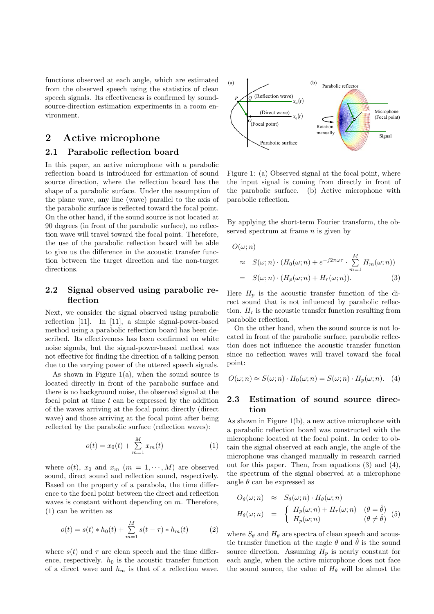functions observed at each angle, which are estimated from the observed speech using the statistics of clean speech signals. Its effectiveness is confirmed by soundsource-direction estimation experiments in a room environment.

### **2 Active microphone**

#### **2.1 Parabolic reflection board**

In this paper, an active microphone with a parabolic reflection board is introduced for estimation of sound source direction, where the reflection board has the shape of a parabolic surface. Under the assumption of the plane wave, any line (wave) parallel to the axis of the parabolic surface is reflected toward the focal point. On the other hand, if the sound source is not located at 90 degrees (in front of the parabolic surface), no reflection wave will travel toward the focal point. Therefore, the use of the parabolic reflection board will be able to give us the difference in the acoustic transfer function between the target direction and the non-target directions.

#### **2.2 Signal observed using parabolic reflection**

Next, we consider the signal observed using parabolic reflection [11]. In [11], a simple signal-power-based method using a parabolic reflection board has been described. Its effectiveness has been confirmed on white noise signals, but the signal-power-based method was not effective for finding the direction of a talking person due to the varying power of the uttered speech signals.

As shown in Figure  $1(a)$ , when the sound source is located directly in front of the parabolic surface and there is no background noise, the observed signal at the focal point at time  $t$  can be expressed by the addition of the waves arriving at the focal point directly (direct wave) and those arriving at the focal point after being reflected by the parabolic surface (reflection waves):

$$
o(t) = x_0(t) + \sum_{m=1}^{M} x_m(t)
$$
 (1)

where  $o(t)$ ,  $x_0$  and  $x_m$   $(m = 1, \dots, M)$  are observed sound, direct sound and reflection sound, respectively. Based on the property of a parabola, the time difference to the focal point between the direct and reflection waves is constant without depending on m. Therefore, (1) can be written as

$$
o(t) = s(t) * h_0(t) + \sum_{m=1}^{M} s(t - \tau) * h_m(t)
$$
 (2)

where  $s(t)$  and  $\tau$  are clean speech and the time difference, respectively.  $h_0$  is the acoustic transfer function of a direct wave and  $h_m$  is that of a reflection wave.



Figure 1: (a) Observed signal at the focal point, where the input signal is coming from directly in front of the parabolic surface. (b) Active microphone with parabolic reflection.

By applying the short-term Fourier transform, the observed spectrum at frame  $n$  is given by

$$
O(\omega; n)
$$
  
\n
$$
\approx S(\omega; n) \cdot (H_0(\omega; n) + e^{-j2\pi\omega\tau} \cdot \sum_{m=1}^M H_m(\omega; n))
$$
  
\n
$$
= S(\omega; n) \cdot (H_p(\omega; n) + H_r(\omega; n)). \qquad (3)
$$

Here  $H_p$  is the acoustic transfer function of the direct sound that is not influenced by parabolic reflection.  $H_r$  is the acoustic transfer function resulting from parabolic reflection.

On the other hand, when the sound source is not located in front of the parabolic surface, parabolic reflection does not influence the acoustic transfer function since no reflection waves will travel toward the focal point:

$$
O(\omega; n) \approx S(\omega; n) \cdot H_0(\omega; n) = S(\omega; n) \cdot H_p(\omega; n). \quad (4)
$$

#### **2.3 Estimation of sound source direction**

As shown in Figure 1(b), a new active microphone with a parabolic reflection board was constructed with the microphone located at the focal point. In order to obtain the signal observed at each angle, the angle of the microphone was changed manually in research carried out for this paper. Then, from equations (3) and (4), the spectrum of the signal observed at a microphone angle  $\theta$  can be expressed as

$$
O_{\theta}(\omega; n) \approx S_{\theta}(\omega; n) \cdot H_{\theta}(\omega; n)
$$
  
\n
$$
H_{\theta}(\omega; n) = \begin{cases} H_p(\omega; n) + H_r(\omega; n) & (\theta = \hat{\theta}) \\ H_p(\omega; n) & (\theta \neq \hat{\theta}) \end{cases}
$$
 (5)

where  $S_{\theta}$  and  $H_{\theta}$  are spectra of clean speech and acoustic transfer function at the angle  $\theta$  and  $\hat{\theta}$  is the sound source direction. Assuming  $H_p$  is nearly constant for each angle, when the active microphone does not face the sound source, the value of  $H_{\theta}$  will be almost the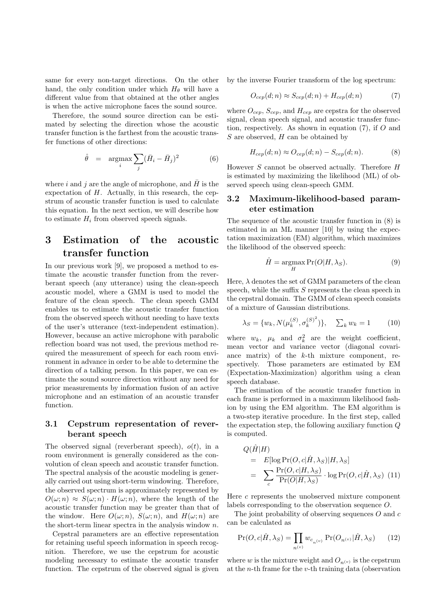same for every non-target directions. On the other hand, the only condition under which  $H_{\theta}$  will have a different value from that obtained at the other angles is when the active microphone faces the sound source.

Therefore, the sound source direction can be estimated by selecting the direction whose the acoustic transfer function is the farthest from the acoustic transfer functions of other directions:

$$
\hat{\theta} = \underset{i}{\operatorname{argmax}} \sum_{j} (\bar{H}_i - \bar{H}_j)^2 \tag{6}
$$

where i and j are the angle of microphone, and  $\bar{H}$  is the expectation of H. Actually, in this research, the cepstrum of acoustic transfer function is used to calculate this equation. In the next section, we will describe how to estimate  $H_i$  from observed speech signals.

# **3 Estimation of the acoustic transfer function**

In our previous work [9], we proposed a method to estimate the acoustic transfer function from the reverberant speech (any utterance) using the clean-speech acoustic model, where a GMM is used to model the feature of the clean speech. The clean speech GMM enables us to estimate the acoustic transfer function from the observed speech without needing to have texts of the user's utterance (text-independent estimation). However, because an active microphone with parabolic reflection board was not used, the previous method required the measurement of speech for each room environment in advance in order to be able to determine the direction of a talking person. In this paper, we can estimate the sound source direction without any need for prior measurements by information fusion of an active microphone and an estimation of an acoustic transfer function.

#### **3.1 Cepstrum representation of reverberant speech**

The observed signal (reverberant speech),  $o(t)$ , in a room environment is generally considered as the convolution of clean speech and acoustic transfer function. The spectral analysis of the acoustic modeling is generally carried out using short-term windowing. Therefore, the observed spectrum is approximately represented by  $O(\omega; n) \approx S(\omega; n) \cdot H(\omega; n)$ , where the length of the acoustic transfer function may be greater than that of the window. Here  $O(\omega; n)$ ,  $S(\omega; n)$ , and  $H(\omega; n)$  are the short-term linear spectra in the analysis window  $n$ .

Cepstral parameters are an effective representation for retaining useful speech information in speech recognition. Therefore, we use the cepstrum for acoustic modeling necessary to estimate the acoustic transfer function. The cepstrum of the observed signal is given by the inverse Fourier transform of the log spectrum:

$$
O_{cep}(d;n) \approx S_{cep}(d;n) + H_{cep}(d;n)
$$
\n(7)

where  $O_{cep}$ ,  $S_{cep}$ , and  $H_{cep}$  are cepstra for the observed signal, clean speech signal, and acoustic transfer function, respectively. As shown in equation  $(7)$ , if O and S are observed, H can be obtained by

$$
H_{cep}(d;n) \approx O_{cep}(d;n) - S_{cep}(d;n). \tag{8}
$$

However  $S$  cannot be observed actually. Therefore  $H$ is estimated by maximizing the likelihood (ML) of observed speech using clean-speech GMM.

#### **3.2 Maximum-likelihood-based parameter estimation**

The sequence of the acoustic transfer function in  $(8)$  is estimated in an ML manner [10] by using the expectation maximization (EM) algorithm, which maximizes the likelihood of the observed speech:

$$
\hat{H} = \underset{H}{\operatorname{argmax}} \Pr(O|H, \lambda_S). \tag{9}
$$

Here,  $\lambda$  denotes the set of GMM parameters of the clean speech, while the suffix S represents the clean speech in the cepstral domain. The GMM of clean speech consists of a mixture of Gaussian distributions.

$$
\lambda_S = \{ w_k, N(\mu_k^{(S)}, \sigma_k^{(S)^2}) \}, \quad \sum_k w_k = 1 \tag{10}
$$

where  $w_k$ ,  $\mu_k$  and  $\sigma_k^2$  are the weight coefficient, mean vector and variance vector (diagonal covariance matrix) of the k-th mixture component, respectively. Those parameters are estimated by EM (Expectation-Maximization) algorithm using a clean speech database.

The estimation of the acoustic transfer function in each frame is performed in a maximum likelihood fashion by using the EM algorithm. The EM algorithm is a two-step iterative procedure. In the first step, called the expectation step, the following auxiliary function Q is computed.

$$
Q(\hat{H}|H)
$$
  
=  $E[\log \Pr(O, c | \hat{H}, \lambda_S)|H, \lambda_S]$   
=  $\sum_c \frac{\Pr(O, c | H, \lambda_S)}{\Pr(O | H, \lambda_S)} \cdot \log \Pr(O, c | \hat{H}, \lambda_S)$  (11)

Here c represents the unobserved mixture component labels corresponding to the observation sequence O.

The joint probability of observing sequences  $O$  and  $c$ can be calculated as

$$
\Pr(O, c | \hat{H}, \lambda_S) = \prod_{n^{(v)}} w_{c_{n^{(v)}}} \Pr(O_{n^{(v)}} | \hat{H}, \lambda_S)
$$
 (12)

where w is the mixture weight and  $O_{n(v)}$  is the cepstrum at the *n*-th frame for the *v*-th training data (observation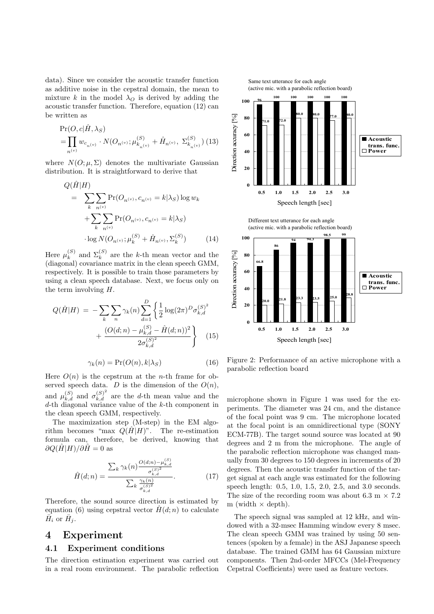data). Since we consider the acoustic transfer function as additive noise in the cepstral domain, the mean to mixture k in the model  $\lambda_{\Omega}$  is derived by adding the acoustic transfer function. Therefore, equation (12) can be written as

$$
\Pr(O, c | \hat{H}, \lambda_S) = \prod_{n^{(v)}} w_{c_{n^{(v)}}} \cdot N(O_{n^{(v)}}; \mu_{k_{n^{(v)}}}^{(S)} + \hat{H}_{n^{(v)}}, \ \Sigma_{k_{n^{(v)}}}^{(S)}) \ (13)
$$

where  $N(O; \mu, \Sigma)$  denotes the multivariate Gaussian distribution. It is straightforward to derive that

$$
Q(\hat{H}|H) = \sum_{k} \sum_{n^{(v)}} \Pr(O_{n^{(v)}}, c_{n^{(v)}} = k|\lambda_S) \log w_k
$$
  
+ 
$$
\sum_{k} \sum_{n^{(v)}} \Pr(O_{n^{(v)}}, c_{n^{(v)}} = k|\lambda_S)
$$
  
log 
$$
N(O_{n^{(v)}}; \mu_k^{(S)} + \hat{H}_{n^{(v)}}, \Sigma_k^{(S)})
$$
 (14)

Here  $\mu_k^{(S)}$  and  $\Sigma_k^{(S)}$  are the k-th mean vector and the (diagonal) covariance matrix in the clean speech GMM, respectively. It is possible to train those parameters by using a clean speech database. Next, we focus only on the term involving H.

$$
Q(\hat{H}|H) = -\sum_{k} \sum_{n} \gamma_{k}(n) \sum_{d=1}^{D} \left\{ \frac{1}{2} \log(2\pi)^{D} \sigma_{k,d}^{(S)^{2}} + \frac{(O(d;n) - \mu_{k,d}^{(S)} - \hat{H}(d;n))^{2}}{2\sigma_{k,d}^{(S)^{2}}} \right\}
$$
(15)

$$
\gamma_k(n) = \Pr(O(n), k | \lambda_S) \tag{16}
$$

Here  $O(n)$  is the cepstrum at the *n*-th frame for observed speech data.  $D$  is the dimension of the  $O(n)$ , and  $\mu_{k,d}^{(S)}$  and  $\sigma_{k,d}^{(S)}$  are the d-th mean value and the  $d$ -th diagonal variance value of the  $k$ -th component in the clean speech GMM, respectively.

The maximization step (M-step) in the EM algorithm becomes "max  $Q(\hat{H}|H)$ ". The re-estimation formula can, therefore, be derived, knowing that  $\partial Q(\hat{H}|H)/\partial\hat{H}=0$  as

$$
\hat{H}(d;n) = \frac{\sum_{k} \gamma_{k}(n) \frac{O(d;n) - \mu_{k,d}^{(S)}}{\sigma_{k,d}^{(S)^{2}}}}{\sum_{k} \frac{\gamma_{k}(n)}{\sigma_{k,d}^{(S)^{2}}}}.
$$
(17)

Therefore, the sound source direction is estimated by equation (6) using cepstral vector  $\hat{H}(d; n)$  to calculate  $\bar{H}_i$  or  $\bar{H}_i$ .

## **4 Experiment**

#### **4.1 Experiment conditions**

The direction estimation experiment was carried out in a real room environment. The parabolic reflection





Figure 2: Performance of an active microphone with a parabolic reflection board

microphone shown in Figure 1 was used for the experiments. The diameter was 24 cm, and the distance of the focal point was 9 cm. The microphone located at the focal point is an omnidirectional type (SONY ECM-77B). The target sound source was located at 90 degrees and 2 m from the microphone. The angle of the parabolic reflection microphone was changed manually from 30 degrees to 150 degrees in increments of 20 degrees. Then the acoustic transfer function of the target signal at each angle was estimated for the following speech length: 0.5, 1.0, 1.5, 2.0, 2.5, and 3.0 seconds. The size of the recording room was about 6.3 m  $\times$  7.2 m (width  $\times$  depth).

The speech signal was sampled at 12 kHz, and windowed with a 32-msec Hamming window every 8 msec. The clean speech GMM was trained by using 50 sentences (spoken by a female) in the ASJ Japanese speech database. The trained GMM has 64 Gaussian mixture components. Then 2nd-order MFCCs (Mel-Frequency Cepstral Coefficients) were used as feature vectors.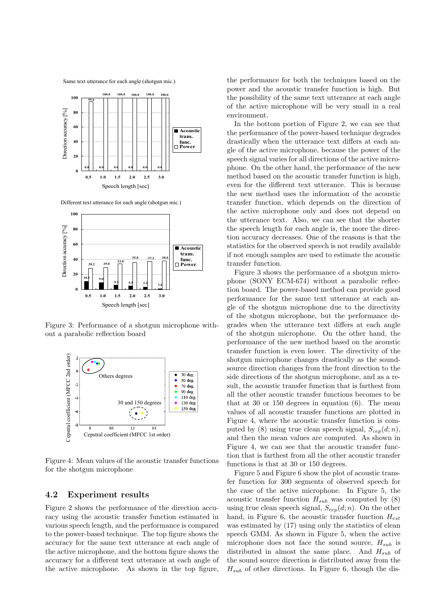Same text utterance for each angle (shotgun mic.)



Different text utterance for each angle (shotgun mic.)



Figure 3: Performance of a shotgun microphone without a parabolic reflection board



Figure 4: Mean values of the acoustic transfer functions for the shotgun microphone

#### **4.2 Experiment results**

Figure 2 shows the performance of the direction accuracy using the acoustic transfer function estimated in various speech length, and the performance is compared to the power-based technique. The top figure shows the accuracy for the same text utterance at each angle of the active microphone, and the bottom figure shows the accuracy for a different text utterance at each angle of the active microphone. As shown in the top figure,

the performance for both the techniques based on the power and the acoustic transfer function is high. But the possibility of the same text utterance at each angle of the active microphone will be very small in a real environment.

In the bottom portion of Figure 2, we can see that the performance of the power-based technique degrades drastically when the utterance text differs at each angle of the active microphone, because the power of the speech signal varies for all directions of the active microphone. On the other hand, the performance of the new method based on the acoustic transfer function is high, even for the different text utterance. This is because the new method uses the information of the acoustic transfer function, which depends on the direction of the active microphone only and does not depend on the utterance text. Also, we can see that the shorter the speech length for each angle is, the more the direction accuracy decreases. One of the reasons is that the statistics for the observed speech is not readily available if not enough samples are used to estimate the acoustic transfer function.

Figure 3 shows the performance of a shotgun microphone (SONY ECM-674) without a parabolic reflection board. The power-based method can provide good performance for the same text utterance at each angle of the shotgun microphone due to the directivity of the shotgun microphone, but the performance degrades when the utterance text differs at each angle of the shotgun microphone. On the other hand, the performance of the new method based on the acoustic transfer function is even lower. The directivity of the shotgun microphone changes drastically as the soundsource direction changes from the front direction to the side directions of the shotgun microphone, and as a result, the acoustic transfer function that is farthest from all the other acoustic transfer functions becomes to be that at 30 or 150 degrees in equation (6). The mean values of all acoustic transfer functions are plotted in Figure 4, where the acoustic transfer function is computed by (8) using true clean speech signal,  $S_{cep}(d; n)$ , and then the mean values are computed. As shown in Figure 4, we can see that the acoustic transfer function that is farthest from all the other acoustic transfer functions is that at 30 or 150 degrees.

Figure 5 and Figure 6 show the plot of acoustic transfer function for 300 segments of observed speech for the case of the active microphone. In Figure 5, the acoustic transfer function  $H_{sub}$  was computed by (8) using true clean speech signal,  $S_{cep}(d; n)$ . On the other hand, in Figure 6, the acoustic transfer function  $H_{est}$ was estimated by  $(17)$  using only the statistics of clean speech GMM. As shown in Figure 5, when the active microphone does not face the sound source,  $H_{sub}$  is distributed in almost the same place. And  $H_{sub}$  of the sound source direction is distributed away from the  $H_{sub}$  of other directions. In Figure 6, though the dis-